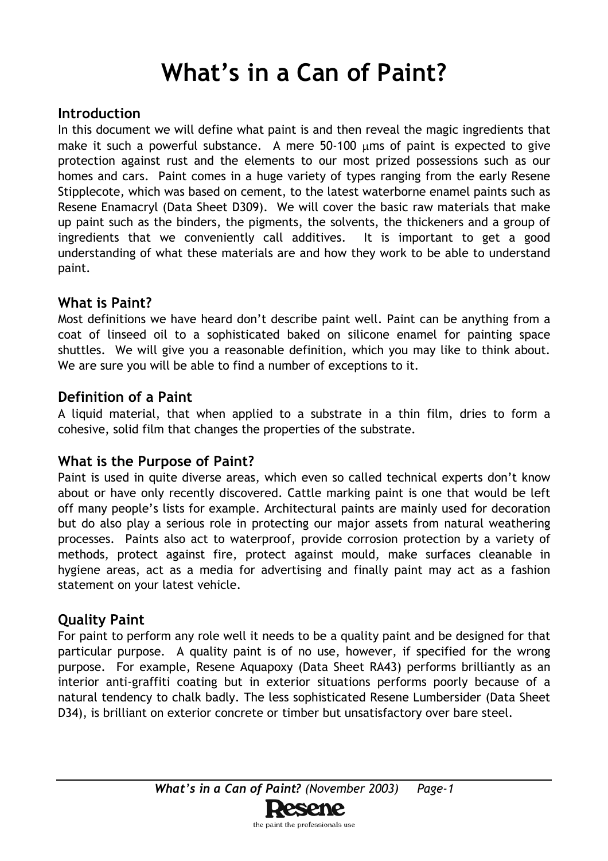# **What's in a Can of Paint?**

# **Introduction**

In this document we will define what paint is and then reveal the magic ingredients that make it such a powerful substance. A mere  $50-100$   $\mu$ ms of paint is expected to give protection against rust and the elements to our most prized possessions such as our homes and cars. Paint comes in a huge variety of types ranging from the early Resene Stipplecote*,* which was based on cement, to the latest waterborne enamel paints such as Resene Enamacryl (Data Sheet D309). We will cover the basic raw materials that make up paint such as the binders, the pigments, the solvents, the thickeners and a group of ingredients that we conveniently call additives. It is important to get a good understanding of what these materials are and how they work to be able to understand paint.

## **What is Paint?**

Most definitions we have heard don't describe paint well. Paint can be anything from a coat of linseed oil to a sophisticated baked on silicone enamel for painting space shuttles. We will give you a reasonable definition, which you may like to think about. We are sure you will be able to find a number of exceptions to it.

## **Definition of a Paint**

A liquid material, that when applied to a substrate in a thin film, dries to form a cohesive, solid film that changes the properties of the substrate.

# **What is the Purpose of Paint?**

Paint is used in quite diverse areas, which even so called technical experts don't know about or have only recently discovered. Cattle marking paint is one that would be left off many people's lists for example. Architectural paints are mainly used for decoration but do also play a serious role in protecting our major assets from natural weathering processes. Paints also act to waterproof, provide corrosion protection by a variety of methods, protect against fire, protect against mould, make surfaces cleanable in hygiene areas, act as a media for advertising and finally paint may act as a fashion statement on your latest vehicle.

# **Quality Paint**

For paint to perform any role well it needs to be a quality paint and be designed for that particular purpose. A quality paint is of no use, however, if specified for the wrong purpose. For example, Resene Aquapoxy (Data Sheet RA43) performs brilliantly as an interior anti-graffiti coating but in exterior situations performs poorly because of a natural tendency to chalk badly. The less sophisticated Resene Lumbersider (Data Sheet D34), is brilliant on exterior concrete or timber but unsatisfactory over bare steel.

the paint the professionals use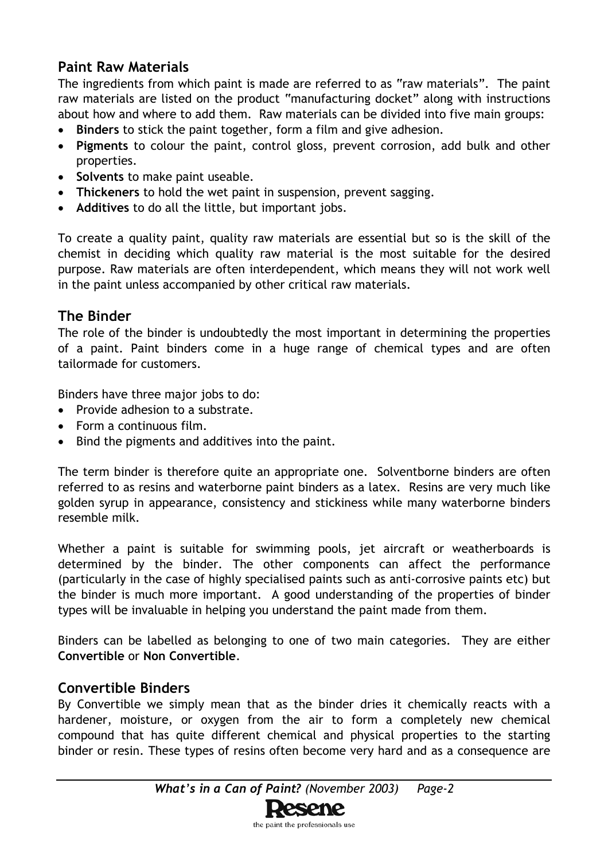# **Paint Raw Materials**

The ingredients from which paint is made are referred to as "raw materials". The paint raw materials are listed on the product "manufacturing docket" along with instructions about how and where to add them. Raw materials can be divided into five main groups:

- **Binders** to stick the paint together, form a film and give adhesion.
- **Pigments** to colour the paint, control gloss, prevent corrosion, add bulk and other properties.
- **Solvents** to make paint useable.
- **Thickeners** to hold the wet paint in suspension, prevent sagging.
- **Additives** to do all the little, but important jobs.

To create a quality paint, quality raw materials are essential but so is the skill of the chemist in deciding which quality raw material is the most suitable for the desired purpose. Raw materials are often interdependent, which means they will not work well in the paint unless accompanied by other critical raw materials.

#### **The Binder**

The role of the binder is undoubtedly the most important in determining the properties of a paint. Paint binders come in a huge range of chemical types and are often tailormade for customers.

Binders have three major jobs to do:

- Provide adhesion to a substrate.
- Form a continuous film.
- Bind the pigments and additives into the paint.

The term binder is therefore quite an appropriate one. Solventborne binders are often referred to as resins and waterborne paint binders as a latex. Resins are very much like golden syrup in appearance, consistency and stickiness while many waterborne binders resemble milk.

Whether a paint is suitable for swimming pools, jet aircraft or weatherboards is determined by the binder. The other components can affect the performance (particularly in the case of highly specialised paints such as anti-corrosive paints etc) but the binder is much more important. A good understanding of the properties of binder types will be invaluable in helping you understand the paint made from them.

Binders can be labelled as belonging to one of two main categories. They are either **Convertible** or **Non Convertible**.

#### **Convertible Binders**

By Convertible we simply mean that as the binder dries it chemically reacts with a hardener, moisture, or oxygen from the air to form a completely new chemical compound that has quite different chemical and physical properties to the starting binder or resin. These types of resins often become very hard and as a consequence are

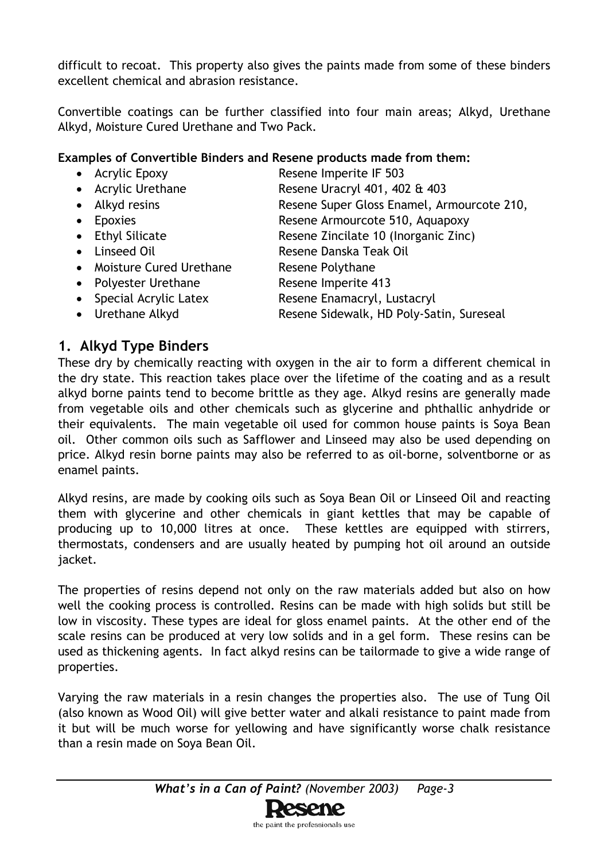difficult to recoat. This property also gives the paints made from some of these binders excellent chemical and abrasion resistance.

Convertible coatings can be further classified into four main areas; Alkyd, Urethane Alkyd, Moisture Cured Urethane and Two Pack.

#### **Examples of Convertible Binders and Resene products made from them:**

• Acrylic Epoxy Resene Imperite IF 503 • Acrylic Urethane Resene Uracryl 401, 402 & 403 • Alkyd resins **Resene Super Gloss Enamel, Armourcote 210,** • Epoxies **Resene Armourcote 510, Aquapoxy** • Ethyl Silicate Resene Zincilate 10 (Inorganic Zinc) • Linseed Oil Resene Danska Teak Oil • Moisture Cured Urethane Resene Polythane • Polyester Urethane Resene Imperite 413 • Special Acrylic Latex Resene Enamacryl, Lustacryl • Urethane Alkyd **Resene Sidewalk, HD Poly-Satin, Sureseal** 

# **1. Alkyd Type Binders**

These dry by chemically reacting with oxygen in the air to form a different chemical in the dry state. This reaction takes place over the lifetime of the coating and as a result alkyd borne paints tend to become brittle as they age. Alkyd resins are generally made from vegetable oils and other chemicals such as glycerine and phthallic anhydride or their equivalents. The main vegetable oil used for common house paints is Soya Bean oil. Other common oils such as Safflower and Linseed may also be used depending on price. Alkyd resin borne paints may also be referred to as oil-borne, solventborne or as enamel paints.

Alkyd resins, are made by cooking oils such as Soya Bean Oil or Linseed Oil and reacting them with glycerine and other chemicals in giant kettles that may be capable of producing up to 10,000 litres at once. These kettles are equipped with stirrers, thermostats, condensers and are usually heated by pumping hot oil around an outside jacket.

The properties of resins depend not only on the raw materials added but also on how well the cooking process is controlled. Resins can be made with high solids but still be low in viscosity. These types are ideal for gloss enamel paints. At the other end of the scale resins can be produced at very low solids and in a gel form. These resins can be used as thickening agents. In fact alkyd resins can be tailormade to give a wide range of properties.

Varying the raw materials in a resin changes the properties also. The use of Tung Oil (also known as Wood Oil) will give better water and alkali resistance to paint made from it but will be much worse for yellowing and have significantly worse chalk resistance than a resin made on Soya Bean Oil.

the paint the professionals use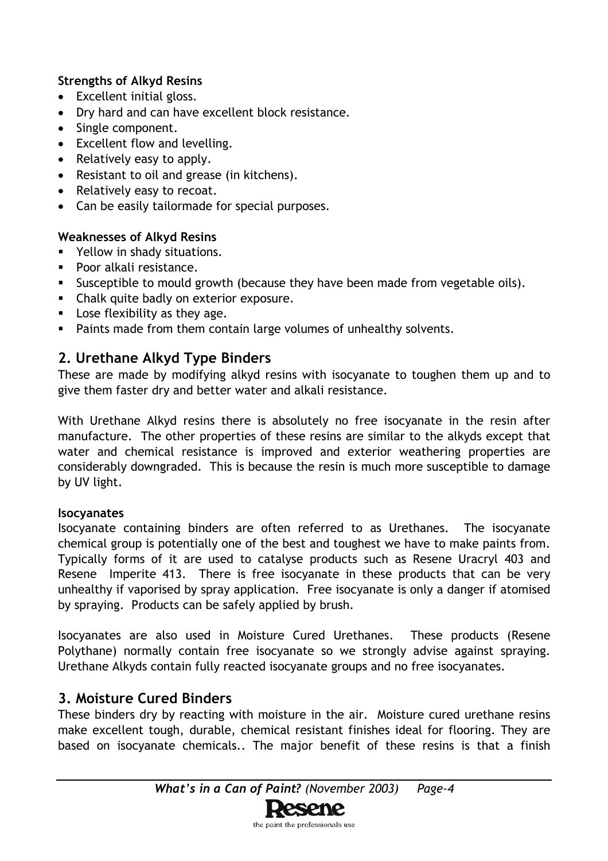#### **Strengths of Alkyd Resins**

- Excellent initial gloss.
- Dry hard and can have excellent block resistance.
- Single component.
- Excellent flow and levelling.
- Relatively easy to apply.
- Resistant to oil and grease (in kitchens).
- Relatively easy to recoat.
- Can be easily tailormade for special purposes.

#### **Weaknesses of Alkyd Resins**

- **Part Yellow in shady situations.**
- Poor alkali resistance.
- Susceptible to mould growth (because they have been made from vegetable oils).
- **EXEC** Chalk quite badly on exterior exposure.
- Lose flexibility as they age.
- **Paints made from them contain large volumes of unhealthy solvents.**

# **2. Urethane Alkyd Type Binders**

These are made by modifying alkyd resins with isocyanate to toughen them up and to give them faster dry and better water and alkali resistance.

With Urethane Alkyd resins there is absolutely no free isocyanate in the resin after manufacture. The other properties of these resins are similar to the alkyds except that water and chemical resistance is improved and exterior weathering properties are considerably downgraded. This is because the resin is much more susceptible to damage by UV light.

#### **Isocyanates**

Isocyanate containing binders are often referred to as Urethanes. The isocyanate chemical group is potentially one of the best and toughest we have to make paints from. Typically forms of it are used to catalyse products such as Resene Uracryl 403 and Resene Imperite 413. There is free isocyanate in these products that can be very unhealthy if vaporised by spray application. Free isocyanate is only a danger if atomised by spraying. Products can be safely applied by brush.

Isocyanates are also used in Moisture Cured Urethanes. These products (Resene Polythane) normally contain free isocyanate so we strongly advise against spraying. Urethane Alkyds contain fully reacted isocyanate groups and no free isocyanates.

#### **3. Moisture Cured Binders**

These binders dry by reacting with moisture in the air. Moisture cured urethane resins make excellent tough, durable, chemical resistant finishes ideal for flooring. They are based on isocyanate chemicals.. The major benefit of these resins is that a finish

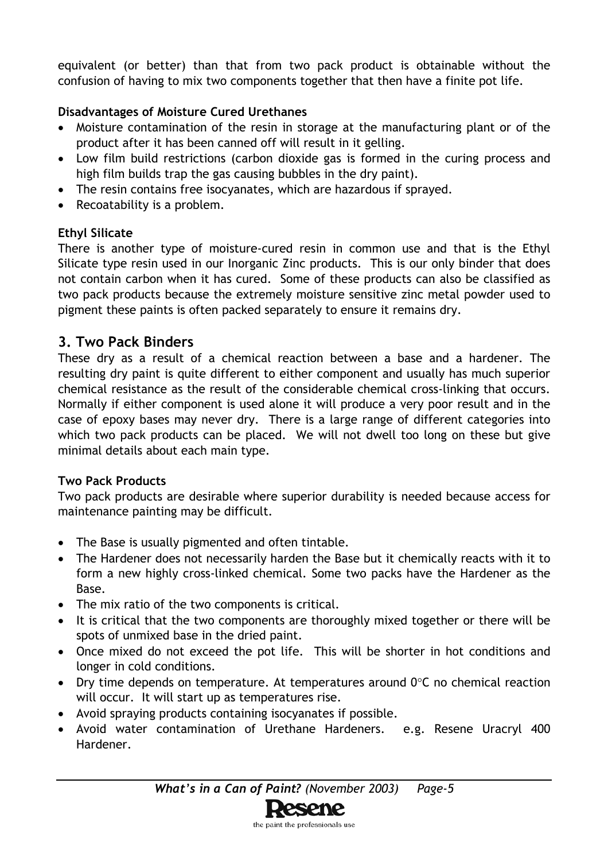equivalent (or better) than that from two pack product is obtainable without the confusion of having to mix two components together that then have a finite pot life.

### **Disadvantages of Moisture Cured Urethanes**

- Moisture contamination of the resin in storage at the manufacturing plant or of the product after it has been canned off will result in it gelling.
- Low film build restrictions (carbon dioxide gas is formed in the curing process and high film builds trap the gas causing bubbles in the dry paint).
- The resin contains free isocyanates, which are hazardous if sprayed.
- Recoatability is a problem.

#### **Ethyl Silicate**

There is another type of moisture-cured resin in common use and that is the Ethyl Silicate type resin used in our Inorganic Zinc products. This is our only binder that does not contain carbon when it has cured. Some of these products can also be classified as two pack products because the extremely moisture sensitive zinc metal powder used to pigment these paints is often packed separately to ensure it remains dry.

# **3. Two Pack Binders**

These dry as a result of a chemical reaction between a base and a hardener. The resulting dry paint is quite different to either component and usually has much superior chemical resistance as the result of the considerable chemical cross-linking that occurs. Normally if either component is used alone it will produce a very poor result and in the case of epoxy bases may never dry. There is a large range of different categories into which two pack products can be placed. We will not dwell too long on these but give minimal details about each main type.

#### **Two Pack Products**

Two pack products are desirable where superior durability is needed because access for maintenance painting may be difficult.

- The Base is usually pigmented and often tintable.
- The Hardener does not necessarily harden the Base but it chemically reacts with it to form a new highly cross-linked chemical. Some two packs have the Hardener as the Base.
- The mix ratio of the two components is critical.
- It is critical that the two components are thoroughly mixed together or there will be spots of unmixed base in the dried paint.
- Once mixed do not exceed the pot life. This will be shorter in hot conditions and longer in cold conditions.
- Dry time depends on temperature. At temperatures around  $0^{\circ}$ C no chemical reaction will occur. It will start up as temperatures rise.
- Avoid spraying products containing isocyanates if possible.
- Avoid water contamination of Urethane Hardeners. e.g. Resene Uracryl 400 Hardener.

*What's in a Can of Paint? (November 2003) Page-5*

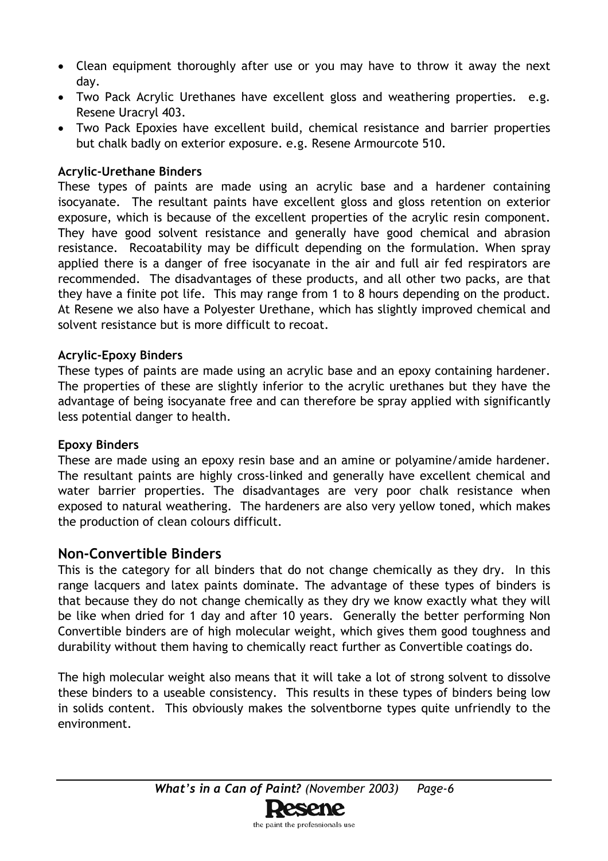- Clean equipment thoroughly after use or you may have to throw it away the next day.
- Two Pack Acrylic Urethanes have excellent gloss and weathering properties. e.g. Resene Uracryl 403.
- Two Pack Epoxies have excellent build, chemical resistance and barrier properties but chalk badly on exterior exposure. e.g. Resene Armourcote 510.

#### **Acrylic-Urethane Binders**

These types of paints are made using an acrylic base and a hardener containing isocyanate. The resultant paints have excellent gloss and gloss retention on exterior exposure, which is because of the excellent properties of the acrylic resin component. They have good solvent resistance and generally have good chemical and abrasion resistance. Recoatability may be difficult depending on the formulation. When spray applied there is a danger of free isocyanate in the air and full air fed respirators are recommended. The disadvantages of these products, and all other two packs, are that they have a finite pot life. This may range from 1 to 8 hours depending on the product. At Resene we also have a Polyester Urethane, which has slightly improved chemical and solvent resistance but is more difficult to recoat.

#### **Acrylic-Epoxy Binders**

These types of paints are made using an acrylic base and an epoxy containing hardener. The properties of these are slightly inferior to the acrylic urethanes but they have the advantage of being isocyanate free and can therefore be spray applied with significantly less potential danger to health.

#### **Epoxy Binders**

These are made using an epoxy resin base and an amine or polyamine/amide hardener. The resultant paints are highly cross-linked and generally have excellent chemical and water barrier properties. The disadvantages are very poor chalk resistance when exposed to natural weathering. The hardeners are also very yellow toned, which makes the production of clean colours difficult.

#### **Non-Convertible Binders**

This is the category for all binders that do not change chemically as they dry. In this range lacquers and latex paints dominate. The advantage of these types of binders is that because they do not change chemically as they dry we know exactly what they will be like when dried for 1 day and after 10 years. Generally the better performing Non Convertible binders are of high molecular weight, which gives them good toughness and durability without them having to chemically react further as Convertible coatings do.

The high molecular weight also means that it will take a lot of strong solvent to dissolve these binders to a useable consistency. This results in these types of binders being low in solids content. This obviously makes the solventborne types quite unfriendly to the environment.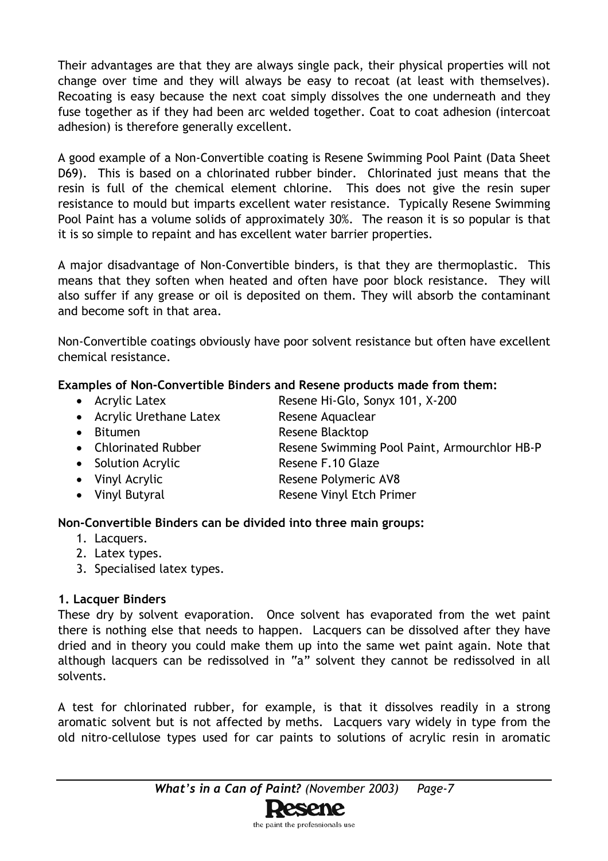Their advantages are that they are always single pack, their physical properties will not change over time and they will always be easy to recoat (at least with themselves). Recoating is easy because the next coat simply dissolves the one underneath and they fuse together as if they had been arc welded together. Coat to coat adhesion (intercoat adhesion) is therefore generally excellent.

A good example of a Non-Convertible coating is Resene Swimming Pool Paint (Data Sheet D69). This is based on a chlorinated rubber binder. Chlorinated just means that the resin is full of the chemical element chlorine. This does not give the resin super resistance to mould but imparts excellent water resistance. Typically Resene Swimming Pool Paint has a volume solids of approximately 30%. The reason it is so popular is that it is so simple to repaint and has excellent water barrier properties.

A major disadvantage of Non-Convertible binders, is that they are thermoplastic. This means that they soften when heated and often have poor block resistance. They will also suffer if any grease or oil is deposited on them. They will absorb the contaminant and become soft in that area.

Non-Convertible coatings obviously have poor solvent resistance but often have excellent chemical resistance.

#### **Examples of Non-Convertible Binders and Resene products made from them:**

- Acrylic Latex Resene Hi-Glo, Sonyx 101, X-200
- Acrylic Urethane Latex Resene Aquaclear
- Bitumen Resene Blacktop
- Chlorinated Rubber Resene Swimming Pool Paint, Armourchlor HB-P
- Solution Acrylic Resene F.10 Glaze
- Vinyl Acrylic **Resene Polymeric AV8**
- Vinyl Butyral **Resene Vinyl Etch Primer**

#### **Non-Convertible Binders can be divided into three main groups:**

- 1. Lacquers.
- 2. Latex types.
- 3. Specialised latex types.

#### **1. Lacquer Binders**

These dry by solvent evaporation. Once solvent has evaporated from the wet paint there is nothing else that needs to happen. Lacquers can be dissolved after they have dried and in theory you could make them up into the same wet paint again. Note that although lacquers can be redissolved in "a" solvent they cannot be redissolved in all solvents.

A test for chlorinated rubber, for example, is that it dissolves readily in a strong aromatic solvent but is not affected by meths. Lacquers vary widely in type from the old nitro-cellulose types used for car paints to solutions of acrylic resin in aromatic

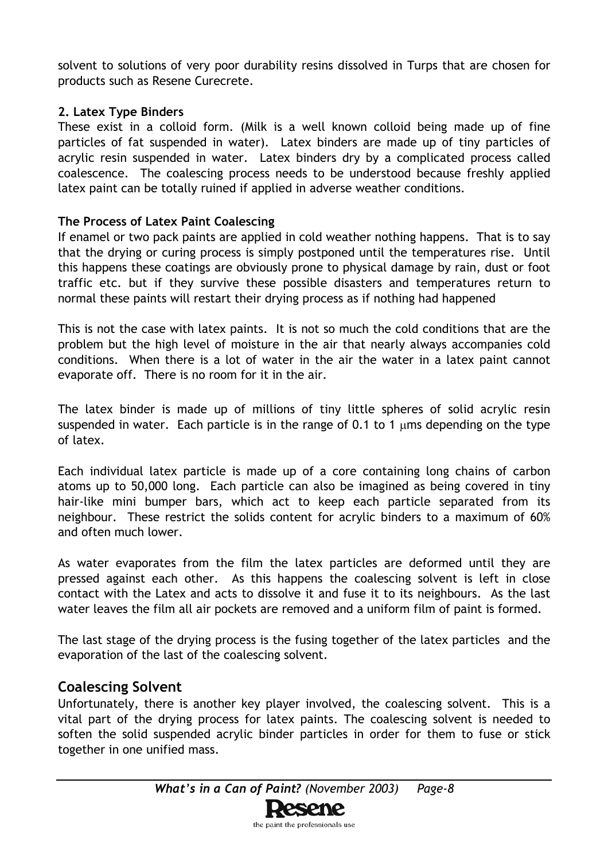solvent to solutions of very poor durability resins dissolved in Turps that are chosen for products such as Resene Curecrete.

#### **2. Latex Type Binders**

These exist in a colloid form. (Milk is a well known colloid being made up of fine particles of fat suspended in water). Latex binders are made up of tiny particles of acrylic resin suspended in water. Latex binders dry by a complicated process called coalescence. The coalescing process needs to be understood because freshly applied latex paint can be totally ruined if applied in adverse weather conditions.

#### **The Process of Latex Paint Coalescing**

If enamel or two pack paints are applied in cold weather nothing happens. That is to say that the drying or curing process is simply postponed until the temperatures rise. Until this happens these coatings are obviously prone to physical damage by rain, dust or foot traffic etc. but if they survive these possible disasters and temperatures return to normal these paints will restart their drying process as if nothing had happened

This is not the case with latex paints. It is not so much the cold conditions that are the problem but the high level of moisture in the air that nearly always accompanies cold conditions. When there is a lot of water in the air the water in a latex paint cannot evaporate off. There is no room for it in the air.

The latex binder is made up of millions of tiny little spheres of solid acrylic resin suspended in water. Each particle is in the range of 0.1 to 1  $\mu$ ms depending on the type of latex.

Each individual latex particle is made up of a core containing long chains of carbon atoms up to 50,000 long. Each particle can also be imagined as being covered in tiny hair-like mini bumper bars, which act to keep each particle separated from its neighbour. These restrict the solids content for acrylic binders to a maximum of 60% and often much lower.

As water evaporates from the film the latex particles are deformed until they are pressed against each other. As this happens the coalescing solvent is left in close contact with the Latex and acts to dissolve it and fuse it to its neighbours. As the last water leaves the film all air pockets are removed and a uniform film of paint is formed.

The last stage of the drying process is the fusing together of the latex particles and the evaporation of the last of the coalescing solvent.

# **Coalescing Solvent**

Unfortunately, there is another key player involved, the coalescing solvent. This is a vital part of the drying process for latex paints. The coalescing solvent is needed to soften the solid suspended acrylic binder particles in order for them to fuse or stick together in one unified mass.

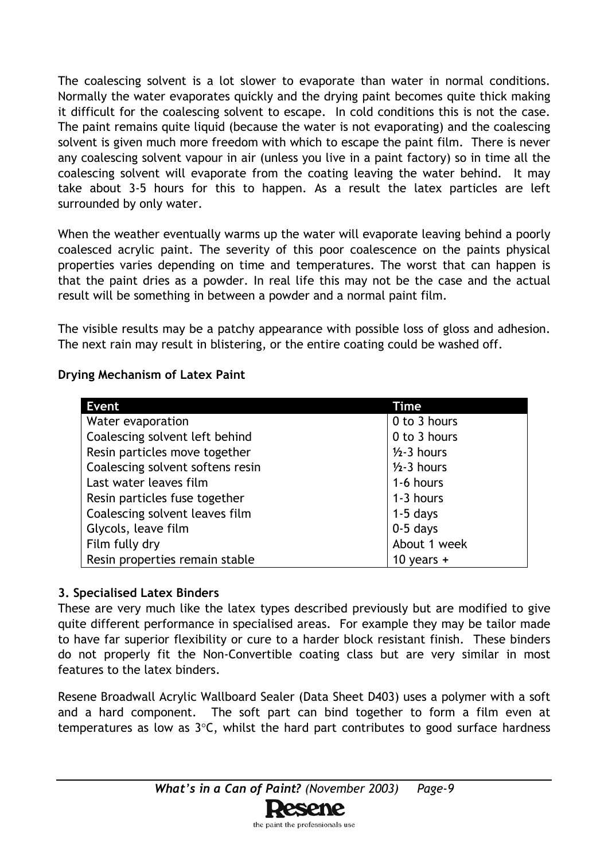The coalescing solvent is a lot slower to evaporate than water in normal conditions. Normally the water evaporates quickly and the drying paint becomes quite thick making it difficult for the coalescing solvent to escape. In cold conditions this is not the case. The paint remains quite liquid (because the water is not evaporating) and the coalescing solvent is given much more freedom with which to escape the paint film. There is never any coalescing solvent vapour in air (unless you live in a paint factory) so in time all the coalescing solvent will evaporate from the coating leaving the water behind. It may take about 3-5 hours for this to happen. As a result the latex particles are left surrounded by only water.

When the weather eventually warms up the water will evaporate leaving behind a poorly coalesced acrylic paint. The severity of this poor coalescence on the paints physical properties varies depending on time and temperatures. The worst that can happen is that the paint dries as a powder. In real life this may not be the case and the actual result will be something in between a powder and a normal paint film.

The visible results may be a patchy appearance with possible loss of gloss and adhesion. The next rain may result in blistering, or the entire coating could be washed off.

#### **Drying Mechanism of Latex Paint**

| <b>Event</b>                     | Time            |
|----------------------------------|-----------------|
| Water evaporation                | 0 to 3 hours    |
| Coalescing solvent left behind   | 0 to 3 hours    |
| Resin particles move together    | $1/2 - 3$ hours |
| Coalescing solvent softens resin | $1/2 - 3$ hours |
| Last water leaves film           | 1-6 hours       |
| Resin particles fuse together    | 1-3 hours       |
| Coalescing solvent leaves film   | $1-5$ days      |
| Glycols, leave film              | $0-5$ days      |
| Film fully dry                   | About 1 week    |
| Resin properties remain stable   | 10 years $+$    |

#### **3. Specialised Latex Binders**

These are very much like the latex types described previously but are modified to give quite different performance in specialised areas. For example they may be tailor made to have far superior flexibility or cure to a harder block resistant finish. These binders do not properly fit the Non-Convertible coating class but are very similar in most features to the latex binders.

Resene Broadwall Acrylic Wallboard Sealer (Data Sheet D403) uses a polymer with a soft and a hard component. The soft part can bind together to form a film even at temperatures as low as 3°C, whilst the hard part contributes to good surface hardness

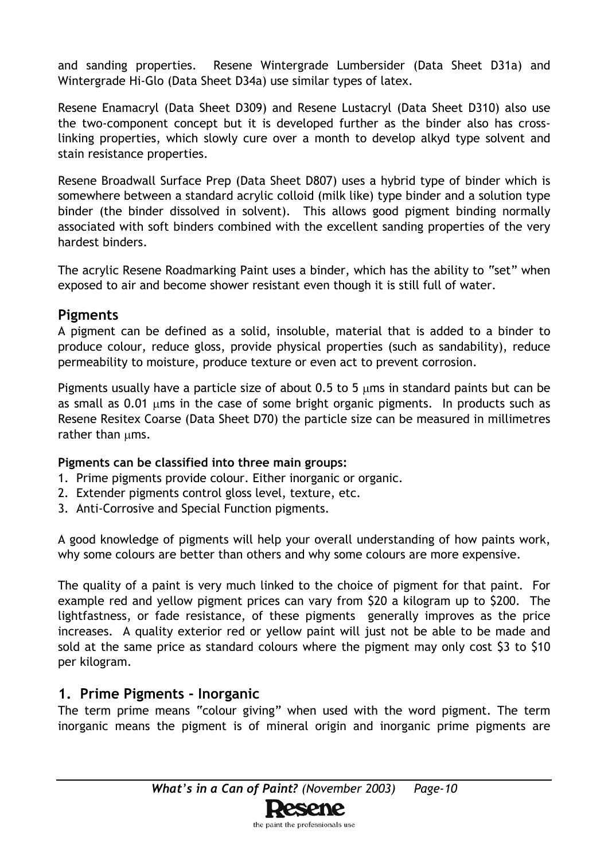and sanding properties. Resene Wintergrade Lumbersider (Data Sheet D31a) and Wintergrade Hi-Glo (Data Sheet D34a) use similar types of latex.

Resene Enamacryl (Data Sheet D309) and Resene Lustacryl (Data Sheet D310) also use the two-component concept but it is developed further as the binder also has crosslinking properties, which slowly cure over a month to develop alkyd type solvent and stain resistance properties.

Resene Broadwall Surface Prep (Data Sheet D807) uses a hybrid type of binder which is somewhere between a standard acrylic colloid (milk like) type binder and a solution type binder (the binder dissolved in solvent). This allows good pigment binding normally associated with soft binders combined with the excellent sanding properties of the very hardest binders.

The acrylic Resene Roadmarking Paint uses a binder, which has the ability to "set" when exposed to air and become shower resistant even though it is still full of water.

## **Pigments**

A pigment can be defined as a solid, insoluble, material that is added to a binder to produce colour, reduce gloss, provide physical properties (such as sandability), reduce permeability to moisture, produce texture or even act to prevent corrosion.

Pigments usually have a particle size of about 0.5 to 5  $\mu$ ms in standard paints but can be as small as 0.01 µms in the case of some bright organic pigments. In products such as Resene Resitex Coarse (Data Sheet D70) the particle size can be measured in millimetres rather than ums.

#### **Pigments can be classified into three main groups:**

- 1. Prime pigments provide colour. Either inorganic or organic.
- 2. Extender pigments control gloss level, texture, etc.
- 3. Anti-Corrosive and Special Function pigments.

A good knowledge of pigments will help your overall understanding of how paints work, why some colours are better than others and why some colours are more expensive.

The quality of a paint is very much linked to the choice of pigment for that paint. For example red and yellow pigment prices can vary from \$20 a kilogram up to \$200. The lightfastness, or fade resistance, of these pigments generally improves as the price increases. A quality exterior red or yellow paint will just not be able to be made and sold at the same price as standard colours where the pigment may only cost \$3 to \$10 per kilogram.

# **1. Prime Pigments - Inorganic**

The term prime means "colour giving" when used with the word pigment. The term inorganic means the pigment is of mineral origin and inorganic prime pigments are

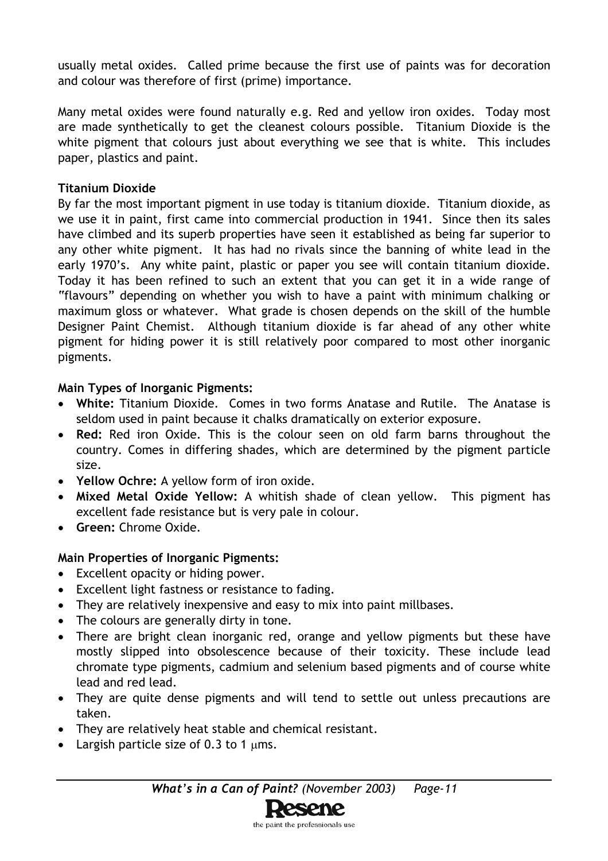usually metal oxides. Called prime because the first use of paints was for decoration and colour was therefore of first (prime) importance.

Many metal oxides were found naturally e.g. Red and yellow iron oxides. Today most are made synthetically to get the cleanest colours possible. Titanium Dioxide is the white pigment that colours just about everything we see that is white. This includes paper, plastics and paint.

#### **Titanium Dioxide**

By far the most important pigment in use today is titanium dioxide. Titanium dioxide, as we use it in paint, first came into commercial production in 1941. Since then its sales have climbed and its superb properties have seen it established as being far superior to any other white pigment. It has had no rivals since the banning of white lead in the early 1970's. Any white paint, plastic or paper you see will contain titanium dioxide. Today it has been refined to such an extent that you can get it in a wide range of "flavours" depending on whether you wish to have a paint with minimum chalking or maximum gloss or whatever. What grade is chosen depends on the skill of the humble Designer Paint Chemist. Although titanium dioxide is far ahead of any other white pigment for hiding power it is still relatively poor compared to most other inorganic pigments.

#### **Main Types of Inorganic Pigments:**

- **White:** Titanium Dioxide. Comes in two forms Anatase and Rutile. The Anatase is seldom used in paint because it chalks dramatically on exterior exposure.
- **Red:** Red iron Oxide. This is the colour seen on old farm barns throughout the country. Comes in differing shades, which are determined by the pigment particle size.
- **Yellow Ochre:** A yellow form of iron oxide.
- **Mixed Metal Oxide Yellow:** A whitish shade of clean yellow. This pigment has excellent fade resistance but is very pale in colour.
- **Green:** Chrome Oxide.

#### **Main Properties of Inorganic Pigments:**

- Excellent opacity or hiding power.
- Excellent light fastness or resistance to fading.
- They are relatively inexpensive and easy to mix into paint millbases.
- The colours are generally dirty in tone.
- There are bright clean inorganic red, orange and yellow pigments but these have mostly slipped into obsolescence because of their toxicity. These include lead chromate type pigments, cadmium and selenium based pigments and of course white lead and red lead.
- They are quite dense pigments and will tend to settle out unless precautions are taken.
- They are relatively heat stable and chemical resistant.
- Largish particle size of  $0.3$  to 1  $\mu$ ms.

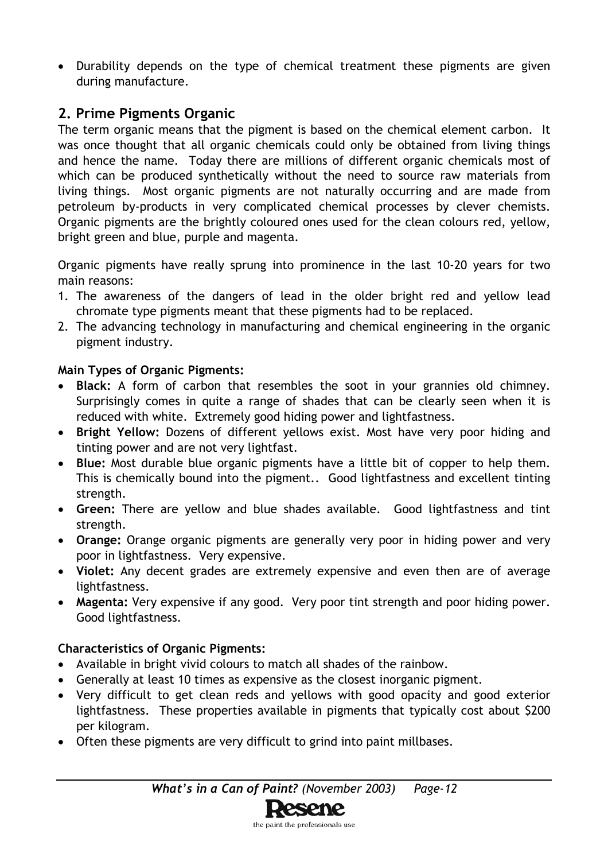• Durability depends on the type of chemical treatment these pigments are given during manufacture.

# **2. Prime Pigments Organic**

The term organic means that the pigment is based on the chemical element carbon. It was once thought that all organic chemicals could only be obtained from living things and hence the name. Today there are millions of different organic chemicals most of which can be produced synthetically without the need to source raw materials from living things. Most organic pigments are not naturally occurring and are made from petroleum by-products in very complicated chemical processes by clever chemists. Organic pigments are the brightly coloured ones used for the clean colours red, yellow, bright green and blue, purple and magenta.

Organic pigments have really sprung into prominence in the last 10-20 years for two main reasons:

- 1. The awareness of the dangers of lead in the older bright red and yellow lead chromate type pigments meant that these pigments had to be replaced.
- 2. The advancing technology in manufacturing and chemical engineering in the organic pigment industry.

#### **Main Types of Organic Pigments:**

- **Black:** A form of carbon that resembles the soot in your grannies old chimney. Surprisingly comes in quite a range of shades that can be clearly seen when it is reduced with white. Extremely good hiding power and lightfastness.
- **Bright Yellow:** Dozens of different yellows exist. Most have very poor hiding and tinting power and are not very lightfast.
- **Blue:** Most durable blue organic pigments have a little bit of copper to help them. This is chemically bound into the pigment.. Good lightfastness and excellent tinting strength.
- **Green:** There are yellow and blue shades available. Good lightfastness and tint strength.
- **Orange:** Orange organic pigments are generally very poor in hiding power and very poor in lightfastness. Very expensive.
- **Violet:** Any decent grades are extremely expensive and even then are of average lightfastness.
- **Magenta:** Very expensive if any good. Very poor tint strength and poor hiding power. Good lightfastness.

#### **Characteristics of Organic Pigments:**

- Available in bright vivid colours to match all shades of the rainbow.
- Generally at least 10 times as expensive as the closest inorganic pigment.
- Very difficult to get clean reds and yellows with good opacity and good exterior lightfastness. These properties available in pigments that typically cost about \$200 per kilogram.
- Often these pigments are very difficult to grind into paint millbases.

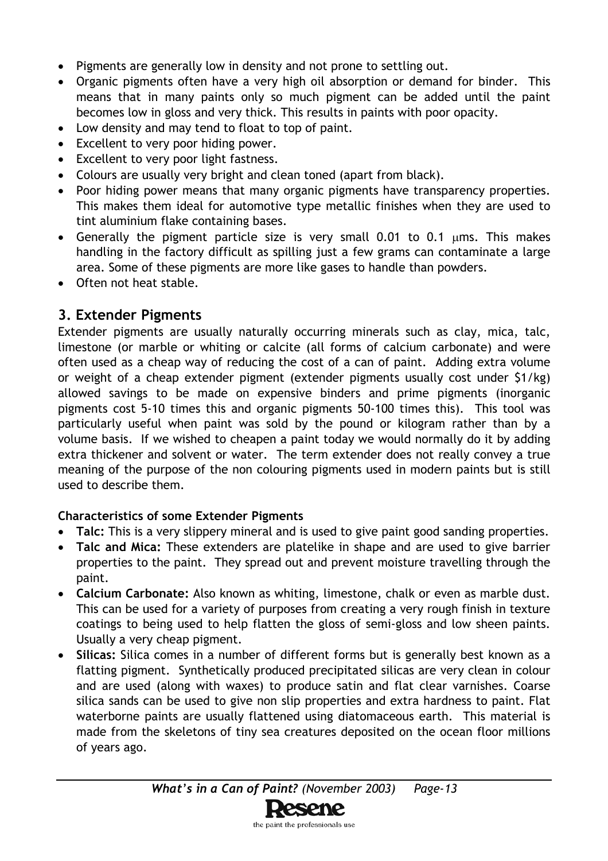- Pigments are generally low in density and not prone to settling out.
- Organic pigments often have a very high oil absorption or demand for binder. This means that in many paints only so much pigment can be added until the paint becomes low in gloss and very thick. This results in paints with poor opacity.
- Low density and may tend to float to top of paint.
- Excellent to very poor hiding power.
- Excellent to very poor light fastness.
- Colours are usually very bright and clean toned (apart from black).
- Poor hiding power means that many organic pigments have transparency properties. This makes them ideal for automotive type metallic finishes when they are used to tint aluminium flake containing bases.
- Generally the pigment particle size is very small 0.01 to 0.1 µms. This makes handling in the factory difficult as spilling just a few grams can contaminate a large area. Some of these pigments are more like gases to handle than powders.
- Often not heat stable.

# **3. Extender Pigments**

Extender pigments are usually naturally occurring minerals such as clay, mica, talc, limestone (or marble or whiting or calcite (all forms of calcium carbonate) and were often used as a cheap way of reducing the cost of a can of paint. Adding extra volume or weight of a cheap extender pigment (extender pigments usually cost under \$1/kg) allowed savings to be made on expensive binders and prime pigments (inorganic pigments cost 5-10 times this and organic pigments 50-100 times this). This tool was particularly useful when paint was sold by the pound or kilogram rather than by a volume basis. If we wished to cheapen a paint today we would normally do it by adding extra thickener and solvent or water. The term extender does not really convey a true meaning of the purpose of the non colouring pigments used in modern paints but is still used to describe them.

#### **Characteristics of some Extender Pigments**

- **Talc:** This is a very slippery mineral and is used to give paint good sanding properties.
- **Talc and Mica:** These extenders are platelike in shape and are used to give barrier properties to the paint. They spread out and prevent moisture travelling through the paint.
- **Calcium Carbonate:** Also known as whiting, limestone, chalk or even as marble dust. This can be used for a variety of purposes from creating a very rough finish in texture coatings to being used to help flatten the gloss of semi-gloss and low sheen paints. Usually a very cheap pigment.
- **Silicas:** Silica comes in a number of different forms but is generally best known as a flatting pigment. Synthetically produced precipitated silicas are very clean in colour and are used (along with waxes) to produce satin and flat clear varnishes. Coarse silica sands can be used to give non slip properties and extra hardness to paint. Flat waterborne paints are usually flattened using diatomaceous earth. This material is made from the skeletons of tiny sea creatures deposited on the ocean floor millions of years ago.

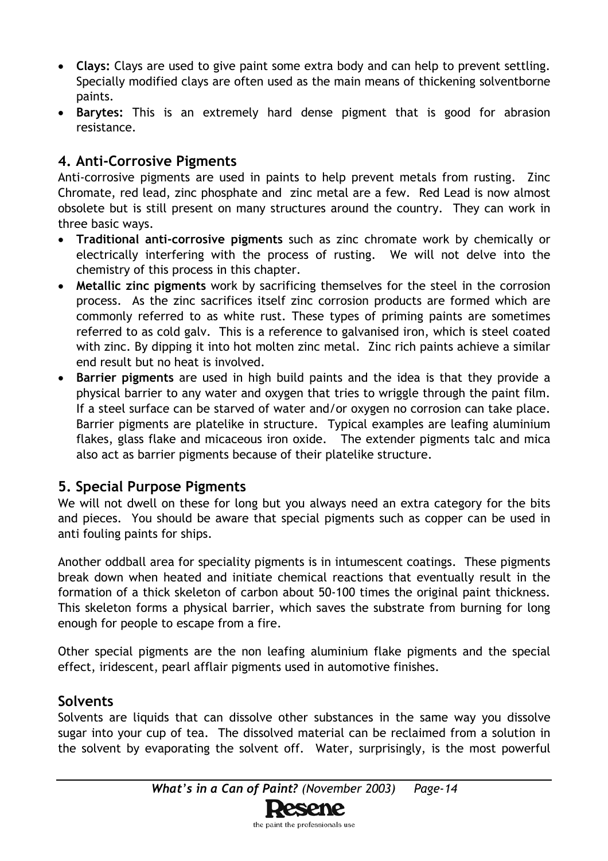- **Clays:** Clays are used to give paint some extra body and can help to prevent settling. Specially modified clays are often used as the main means of thickening solventborne paints.
- **Barytes:** This is an extremely hard dense pigment that is good for abrasion resistance.

# **4. Anti-Corrosive Pigments**

Anti-corrosive pigments are used in paints to help prevent metals from rusting. Zinc Chromate, red lead, zinc phosphate and zinc metal are a few. Red Lead is now almost obsolete but is still present on many structures around the country. They can work in three basic ways.

- **Traditional anti-corrosive pigments** such as zinc chromate work by chemically or electrically interfering with the process of rusting. We will not delve into the chemistry of this process in this chapter.
- **Metallic zinc pigments** work by sacrificing themselves for the steel in the corrosion process. As the zinc sacrifices itself zinc corrosion products are formed which are commonly referred to as white rust. These types of priming paints are sometimes referred to as cold galv. This is a reference to galvanised iron, which is steel coated with zinc. By dipping it into hot molten zinc metal. Zinc rich paints achieve a similar end result but no heat is involved.
- **Barrier pigments** are used in high build paints and the idea is that they provide a physical barrier to any water and oxygen that tries to wriggle through the paint film. If a steel surface can be starved of water and/or oxygen no corrosion can take place. Barrier pigments are platelike in structure. Typical examples are leafing aluminium flakes, glass flake and micaceous iron oxide. The extender pigments talc and mica also act as barrier pigments because of their platelike structure.

# **5. Special Purpose Pigments**

We will not dwell on these for long but you always need an extra category for the bits and pieces. You should be aware that special pigments such as copper can be used in anti fouling paints for ships.

Another oddball area for speciality pigments is in intumescent coatings. These pigments break down when heated and initiate chemical reactions that eventually result in the formation of a thick skeleton of carbon about 50-100 times the original paint thickness. This skeleton forms a physical barrier, which saves the substrate from burning for long enough for people to escape from a fire.

Other special pigments are the non leafing aluminium flake pigments and the special effect, iridescent, pearl afflair pigments used in automotive finishes.

# **Solvents**

Solvents are liquids that can dissolve other substances in the same way you dissolve sugar into your cup of tea. The dissolved material can be reclaimed from a solution in the solvent by evaporating the solvent off. Water, surprisingly, is the most powerful

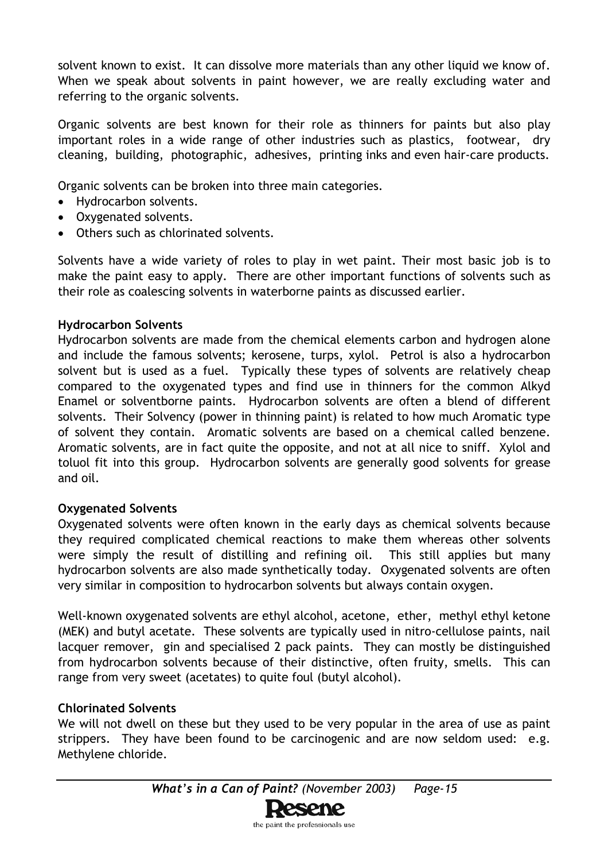solvent known to exist. It can dissolve more materials than any other liquid we know of. When we speak about solvents in paint however, we are really excluding water and referring to the organic solvents.

Organic solvents are best known for their role as thinners for paints but also play important roles in a wide range of other industries such as plastics, footwear, dry cleaning, building, photographic, adhesives, printing inks and even hair-care products.

Organic solvents can be broken into three main categories.

- Hydrocarbon solvents.
- Oxygenated solvents.
- Others such as chlorinated solvents.

Solvents have a wide variety of roles to play in wet paint. Their most basic job is to make the paint easy to apply. There are other important functions of solvents such as their role as coalescing solvents in waterborne paints as discussed earlier.

#### **Hydrocarbon Solvents**

Hydrocarbon solvents are made from the chemical elements carbon and hydrogen alone and include the famous solvents; kerosene, turps, xylol. Petrol is also a hydrocarbon solvent but is used as a fuel. Typically these types of solvents are relatively cheap compared to the oxygenated types and find use in thinners for the common Alkyd Enamel or solventborne paints. Hydrocarbon solvents are often a blend of different solvents. Their Solvency (power in thinning paint) is related to how much Aromatic type of solvent they contain. Aromatic solvents are based on a chemical called benzene. Aromatic solvents, are in fact quite the opposite, and not at all nice to sniff. Xylol and toluol fit into this group. Hydrocarbon solvents are generally good solvents for grease and oil.

#### **Oxygenated Solvents**

Oxygenated solvents were often known in the early days as chemical solvents because they required complicated chemical reactions to make them whereas other solvents were simply the result of distilling and refining oil. This still applies but many hydrocarbon solvents are also made synthetically today. Oxygenated solvents are often very similar in composition to hydrocarbon solvents but always contain oxygen.

Well-known oxygenated solvents are ethyl alcohol, acetone, ether, methyl ethyl ketone (MEK) and butyl acetate. These solvents are typically used in nitro-cellulose paints, nail lacquer remover, gin and specialised 2 pack paints. They can mostly be distinguished from hydrocarbon solvents because of their distinctive, often fruity, smells. This can range from very sweet (acetates) to quite foul (butyl alcohol).

#### **Chlorinated Solvents**

We will not dwell on these but they used to be very popular in the area of use as paint strippers. They have been found to be carcinogenic and are now seldom used: e.g. Methylene chloride.

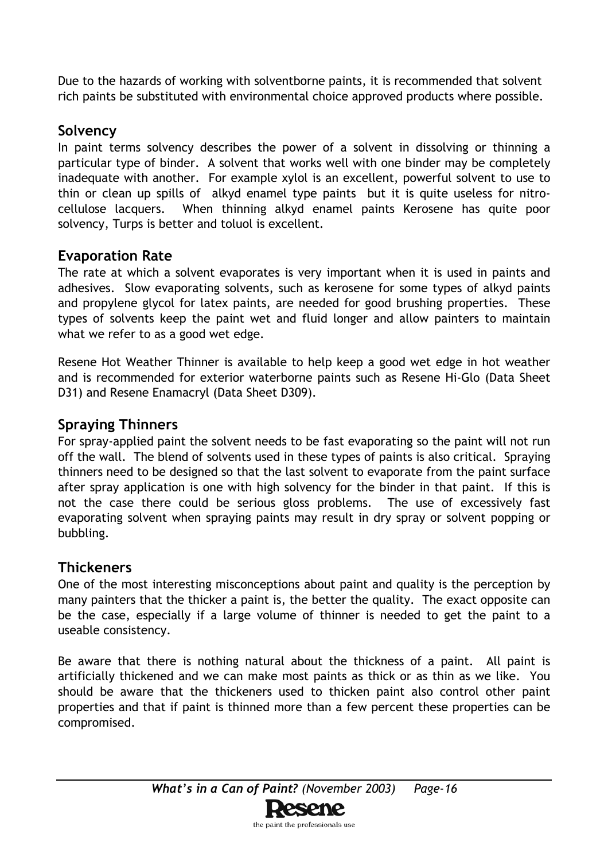Due to the hazards of working with solventborne paints, it is recommended that solvent rich paints be substituted with environmental choice approved products where possible.

# **Solvency**

In paint terms solvency describes the power of a solvent in dissolving or thinning a particular type of binder. A solvent that works well with one binder may be completely inadequate with another. For example xylol is an excellent, powerful solvent to use to thin or clean up spills of alkyd enamel type paints but it is quite useless for nitrocellulose lacquers. When thinning alkyd enamel paints Kerosene has quite poor solvency, Turps is better and toluol is excellent.

# **Evaporation Rate**

The rate at which a solvent evaporates is very important when it is used in paints and adhesives. Slow evaporating solvents, such as kerosene for some types of alkyd paints and propylene glycol for latex paints, are needed for good brushing properties. These types of solvents keep the paint wet and fluid longer and allow painters to maintain what we refer to as a good wet edge.

Resene Hot Weather Thinner is available to help keep a good wet edge in hot weather and is recommended for exterior waterborne paints such as Resene Hi-Glo (Data Sheet D31) and Resene Enamacryl (Data Sheet D309).

# **Spraying Thinners**

For spray-applied paint the solvent needs to be fast evaporating so the paint will not run off the wall. The blend of solvents used in these types of paints is also critical. Spraying thinners need to be designed so that the last solvent to evaporate from the paint surface after spray application is one with high solvency for the binder in that paint. If this is not the case there could be serious gloss problems. The use of excessively fast evaporating solvent when spraying paints may result in dry spray or solvent popping or bubbling.

# **Thickeners**

One of the most interesting misconceptions about paint and quality is the perception by many painters that the thicker a paint is, the better the quality. The exact opposite can be the case, especially if a large volume of thinner is needed to get the paint to a useable consistency.

Be aware that there is nothing natural about the thickness of a paint. All paint is artificially thickened and we can make most paints as thick or as thin as we like. You should be aware that the thickeners used to thicken paint also control other paint properties and that if paint is thinned more than a few percent these properties can be compromised.

the paint the professionals use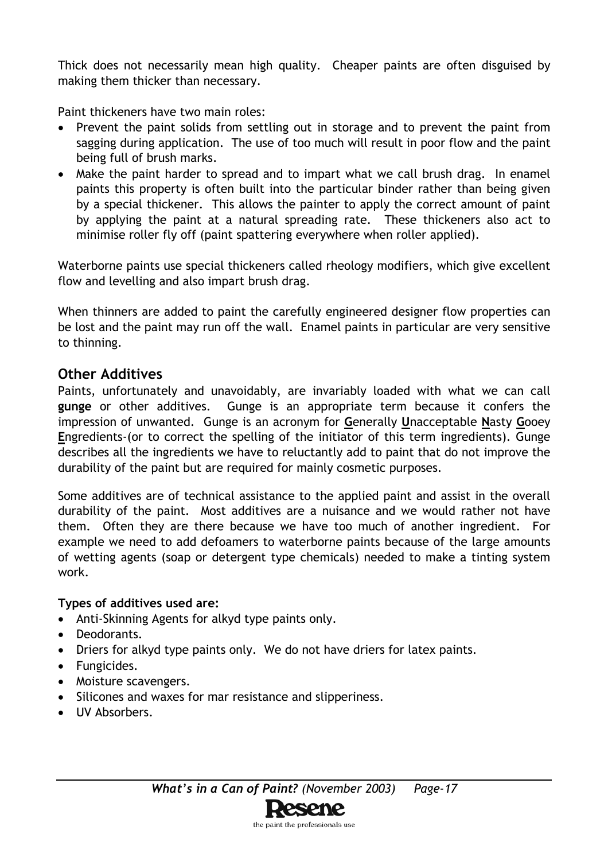Thick does not necessarily mean high quality. Cheaper paints are often disguised by making them thicker than necessary.

Paint thickeners have two main roles:

- Prevent the paint solids from settling out in storage and to prevent the paint from sagging during application. The use of too much will result in poor flow and the paint being full of brush marks.
- Make the paint harder to spread and to impart what we call brush drag. In enamel paints this property is often built into the particular binder rather than being given by a special thickener. This allows the painter to apply the correct amount of paint by applying the paint at a natural spreading rate. These thickeners also act to minimise roller fly off (paint spattering everywhere when roller applied).

Waterborne paints use special thickeners called rheology modifiers, which give excellent flow and levelling and also impart brush drag.

When thinners are added to paint the carefully engineered designer flow properties can be lost and the paint may run off the wall. Enamel paints in particular are very sensitive to thinning.

## **Other Additives**

Paints, unfortunately and unavoidably, are invariably loaded with what we can call **gunge** or other additives. Gunge is an appropriate term because it confers the impression of unwanted. Gunge is an acronym for **G**enerally **U**nacceptable **N**asty **G**ooey **E**ngredients-(or to correct the spelling of the initiator of this term ingredients). Gunge describes all the ingredients we have to reluctantly add to paint that do not improve the durability of the paint but are required for mainly cosmetic purposes.

Some additives are of technical assistance to the applied paint and assist in the overall durability of the paint. Most additives are a nuisance and we would rather not have them. Often they are there because we have too much of another ingredient. For example we need to add defoamers to waterborne paints because of the large amounts of wetting agents (soap or detergent type chemicals) needed to make a tinting system work.

#### **Types of additives used are:**

- Anti-Skinning Agents for alkyd type paints only.
- Deodorants.
- Driers for alkyd type paints only. We do not have driers for latex paints.
- Fungicides.
- Moisture scavengers.
- Silicones and waxes for mar resistance and slipperiness.
- UV Absorbers.

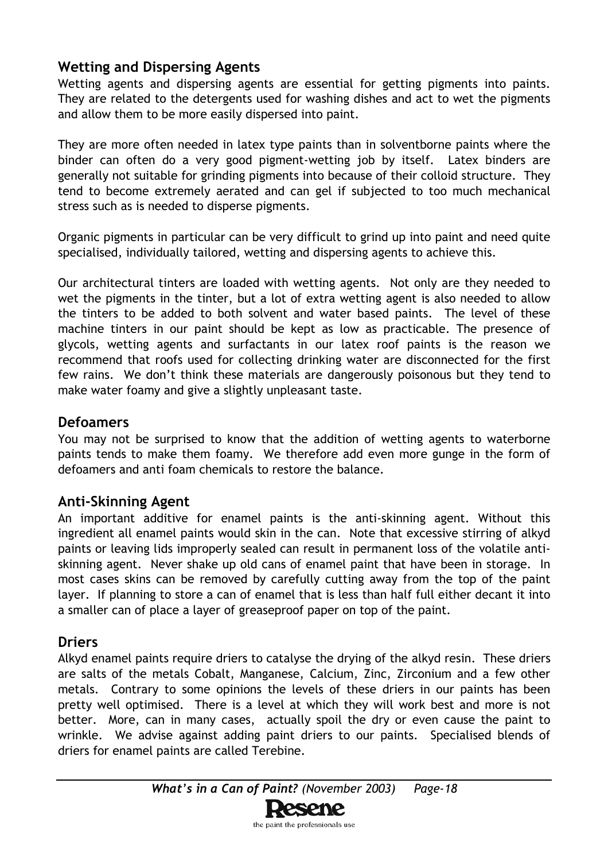# **Wetting and Dispersing Agents**

Wetting agents and dispersing agents are essential for getting pigments into paints. They are related to the detergents used for washing dishes and act to wet the pigments and allow them to be more easily dispersed into paint.

They are more often needed in latex type paints than in solventborne paints where the binder can often do a very good pigment-wetting job by itself. Latex binders are generally not suitable for grinding pigments into because of their colloid structure. They tend to become extremely aerated and can gel if subjected to too much mechanical stress such as is needed to disperse pigments.

Organic pigments in particular can be very difficult to grind up into paint and need quite specialised, individually tailored, wetting and dispersing agents to achieve this.

Our architectural tinters are loaded with wetting agents. Not only are they needed to wet the pigments in the tinter, but a lot of extra wetting agent is also needed to allow the tinters to be added to both solvent and water based paints. The level of these machine tinters in our paint should be kept as low as practicable. The presence of glycols, wetting agents and surfactants in our latex roof paints is the reason we recommend that roofs used for collecting drinking water are disconnected for the first few rains. We don't think these materials are dangerously poisonous but they tend to make water foamy and give a slightly unpleasant taste.

# **Defoamers**

You may not be surprised to know that the addition of wetting agents to waterborne paints tends to make them foamy. We therefore add even more gunge in the form of defoamers and anti foam chemicals to restore the balance.

# **Anti-Skinning Agent**

An important additive for enamel paints is the anti-skinning agent. Without this ingredient all enamel paints would skin in the can. Note that excessive stirring of alkyd paints or leaving lids improperly sealed can result in permanent loss of the volatile antiskinning agent. Never shake up old cans of enamel paint that have been in storage. In most cases skins can be removed by carefully cutting away from the top of the paint layer. If planning to store a can of enamel that is less than half full either decant it into a smaller can of place a layer of greaseproof paper on top of the paint.

# **Driers**

Alkyd enamel paints require driers to catalyse the drying of the alkyd resin. These driers are salts of the metals Cobalt, Manganese, Calcium, Zinc, Zirconium and a few other metals. Contrary to some opinions the levels of these driers in our paints has been pretty well optimised. There is a level at which they will work best and more is not better. More, can in many cases, actually spoil the dry or even cause the paint to wrinkle. We advise against adding paint driers to our paints. Specialised blends of driers for enamel paints are called Terebine.

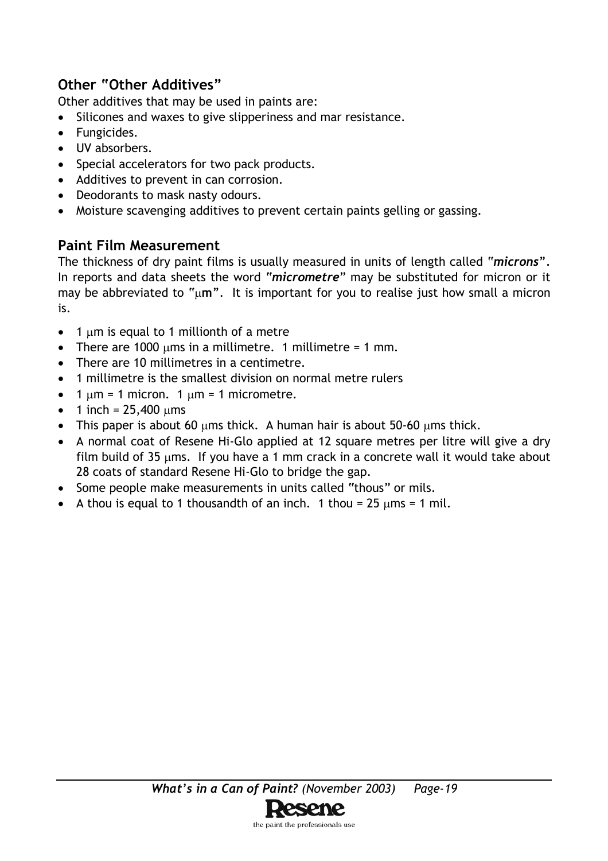# **Other "Other Additives"**

Other additives that may be used in paints are:

- Silicones and waxes to give slipperiness and mar resistance.
- Fungicides.
- UV absorbers.
- Special accelerators for two pack products.
- Additives to prevent in can corrosion.
- Deodorants to mask nasty odours.
- Moisture scavenging additives to prevent certain paints gelling or gassing.

# **Paint Film Measurement**

The thickness of dry paint films is usually measured in units of length called "*microns".* In reports and data sheets the word "*micrometre*" may be substituted for micron or it may be abbreviated to "µ**m***"*. It is important for you to realise just how small a micron is.

- 1 µm is equal to 1 millionth of a metre
- There are 1000  $\mu$ ms in a millimetre. 1 millimetre = 1 mm.
- There are 10 millimetres in a centimetre.
- 1 millimetre is the smallest division on normal metre rulers
- $\bullet$  1  $\mu$ m = 1 micron. 1  $\mu$ m = 1 micrometre.
- 1 inch =  $25,400 \mu m s$
- This paper is about 60  $\mu$ ms thick. A human hair is about 50-60  $\mu$ ms thick.
- A normal coat of Resene Hi-Glo applied at 12 square metres per litre will give a dry film build of 35  $\mu$ ms. If you have a 1 mm crack in a concrete wall it would take about 28 coats of standard Resene Hi-Glo to bridge the gap.
- Some people make measurements in units called "thous" or mils.
- A thou is equal to 1 thousandth of an inch. 1 thou =  $25 \mu \text{m/s} = 1 \text{ mil}$ .

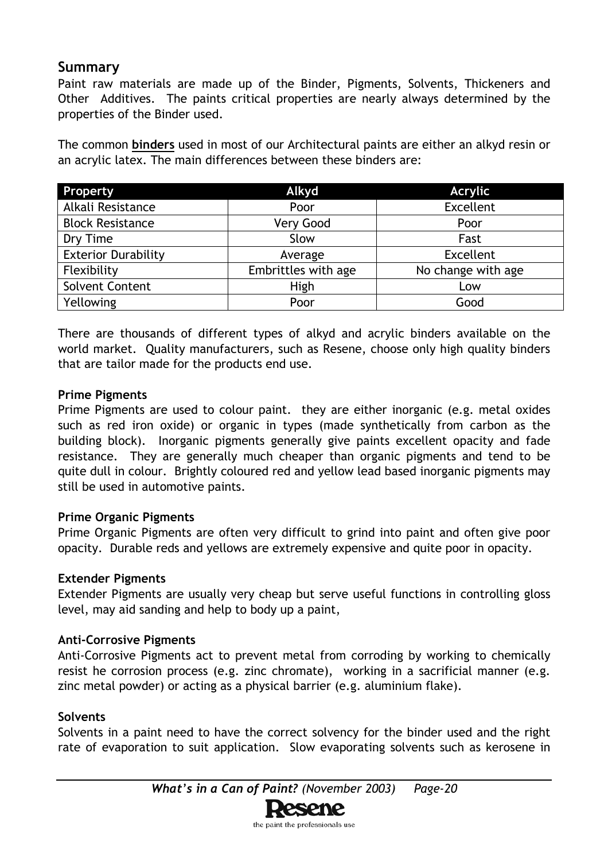### **Summary**

Paint raw materials are made up of the Binder, Pigments, Solvents, Thickeners and Other Additives. The paints critical properties are nearly always determined by the properties of the Binder used.

The common **binders** used in most of our Architectural paints are either an alkyd resin or an acrylic latex. The main differences between these binders are:

| Property                   | Alkyd               | <b>Acrylic</b>     |
|----------------------------|---------------------|--------------------|
| Alkali Resistance          | Poor                | Excellent          |
| <b>Block Resistance</b>    | Very Good           | Poor               |
| Dry Time                   | Slow                | Fast               |
| <b>Exterior Durability</b> | Average             | Excellent          |
| Flexibility                | Embrittles with age | No change with age |
| <b>Solvent Content</b>     | High                | Low                |
| Yellowing                  | Poor                | Good               |

There are thousands of different types of alkyd and acrylic binders available on the world market. Quality manufacturers, such as Resene, choose only high quality binders that are tailor made for the products end use.

#### **Prime Pigments**

Prime Pigments are used to colour paint. they are either inorganic (e.g. metal oxides such as red iron oxide) or organic in types (made synthetically from carbon as the building block). Inorganic pigments generally give paints excellent opacity and fade resistance. They are generally much cheaper than organic pigments and tend to be quite dull in colour. Brightly coloured red and yellow lead based inorganic pigments may still be used in automotive paints.

#### **Prime Organic Pigments**

Prime Organic Pigments are often very difficult to grind into paint and often give poor opacity. Durable reds and yellows are extremely expensive and quite poor in opacity.

#### **Extender Pigments**

Extender Pigments are usually very cheap but serve useful functions in controlling gloss level, may aid sanding and help to body up a paint,

#### **Anti-Corrosive Pigments**

Anti-Corrosive Pigments act to prevent metal from corroding by working to chemically resist he corrosion process (e.g. zinc chromate), working in a sacrificial manner (e.g. zinc metal powder) or acting as a physical barrier (e.g. aluminium flake).

#### **Solvents**

Solvents in a paint need to have the correct solvency for the binder used and the right rate of evaporation to suit application. Slow evaporating solvents such as kerosene in